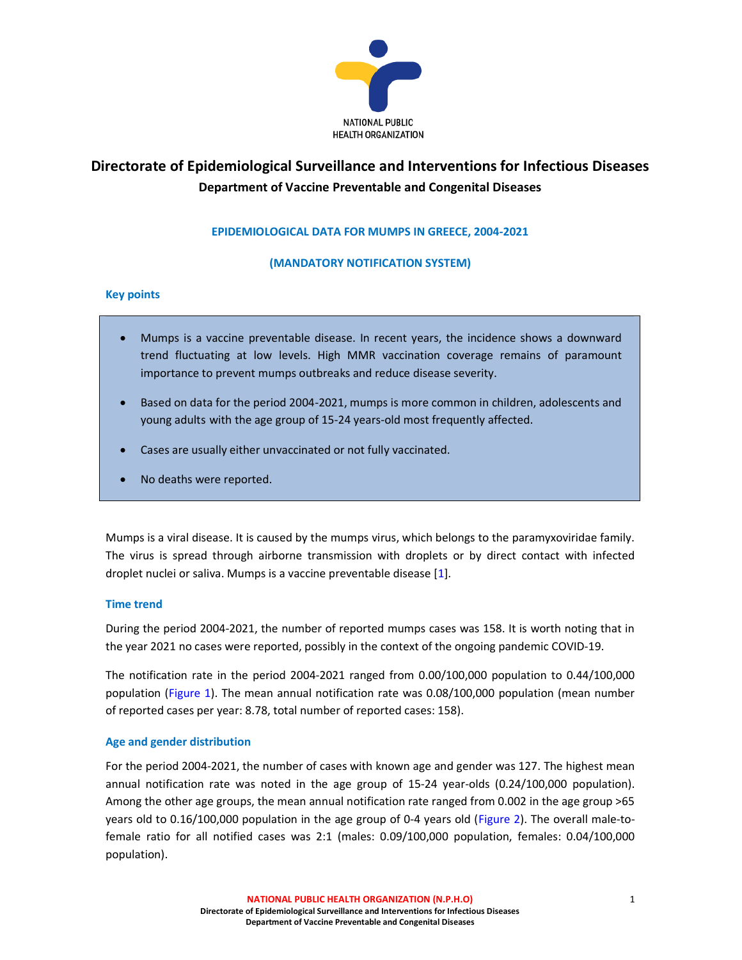

# Directorate of Epidemiological Surveillance and Interventions for Infectious Diseases Department of Vaccine Preventable and Congenital Diseases

## EPIDEMIOLOGICAL DATA FOR MUMPS IN GREECE, 2004-2021

## (MANDATORY NOTIFICATION SYSTEM)

#### Key points

- Mumps is a vaccine preventable disease. In recent years, the incidence shows a downward trend fluctuating at low levels. High MMR vaccination coverage remains of paramount importance to prevent mumps outbreaks and reduce disease severity.
- Based on data for the period 2004-2021, mumps is more common in children, adolescents and young adults with the age group of 15-24 years-old most frequently affected.
- Cases are usually either unvaccinated or not fully vaccinated.
- No deaths were reported.

Mumps is a viral disease. It is caused by the mumps virus, which belongs to the paramyxoviridae family. The virus is spread through airborne transmission with droplets or by direct contact with infected droplet nuclei or saliva. Mumps is a vaccine preventable disease [1].

## Time trend

During the period 2004-2021, the number of reported mumps cases was 158. It is worth noting that in the year 2021 no cases were reported, possibly in the context of the ongoing pandemic COVID-19.

The notification rate in the period 2004-2021 ranged from 0.00/100,000 population to 0.44/100,000 population (Figure 1). The mean annual notification rate was 0.08/100,000 population (mean number of reported cases per year: 8.78, total number of reported cases: 158).

## Age and gender distribution

For the period 2004-2021, the number of cases with known age and gender was 127. The highest mean annual notification rate was noted in the age group of 15-24 year-olds (0.24/100,000 population). Among the other age groups, the mean annual notification rate ranged from 0.002 in the age group >65 years old to 0.16/100,000 population in the age group of 0-4 years old (Figure 2). The overall male-tofemale ratio for all notified cases was 2:1 (males: 0.09/100,000 population, females: 0.04/100,000 population).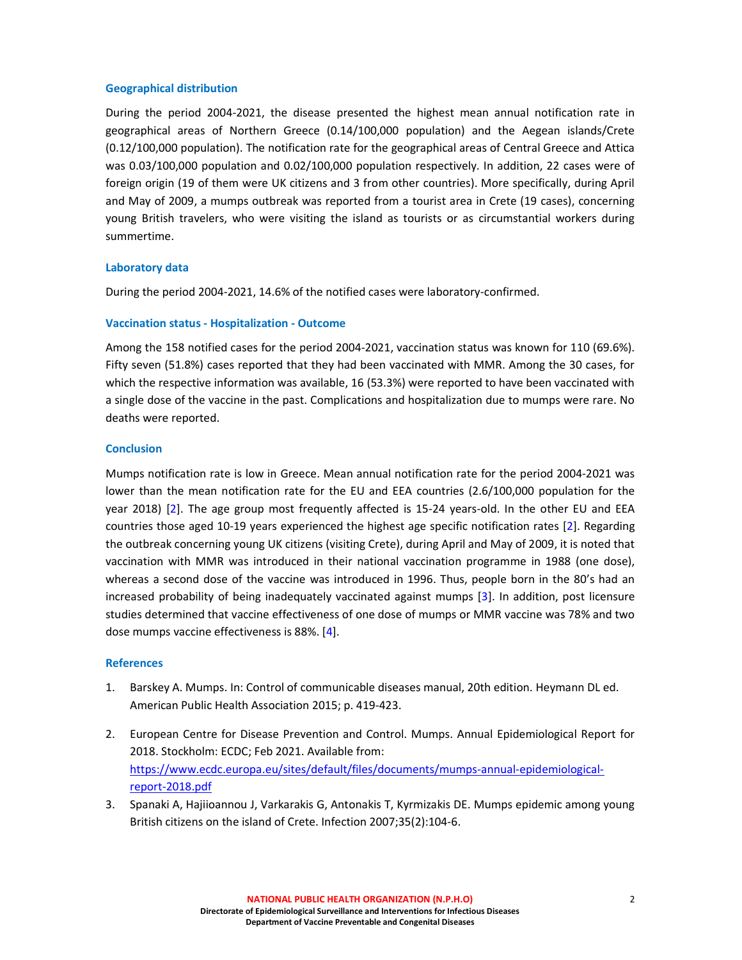#### Geographical distribution

During the period 2004-2021, the disease presented the highest mean annual notification rate in geographical areas of Northern Greece (0.14/100,000 population) and the Aegean islands/Crete (0.12/100,000 population). The notification rate for the geographical areas of Central Greece and Attica was 0.03/100,000 population and 0.02/100,000 population respectively. In addition, 22 cases were of foreign origin (19 of them were UK citizens and 3 from other countries). More specifically, during April and May of 2009, a mumps outbreak was reported from a tourist area in Crete (19 cases), concerning young British travelers, who were visiting the island as tourists or as circumstantial workers during summertime.

#### Laboratory data

During the period 2004-2021, 14.6% of the notified cases were laboratory-confirmed.

#### Vaccination status - Hospitalization - Outcome

Among the 158 notified cases for the period 2004-2021, vaccination status was known for 110 (69.6%). Fifty seven (51.8%) cases reported that they had been vaccinated with MMR. Among the 30 cases, for which the respective information was available, 16 (53.3%) were reported to have been vaccinated with a single dose of the vaccine in the past. Complications and hospitalization due to mumps were rare. No deaths were reported.

#### **Conclusion**

Mumps notification rate is low in Greece. Mean annual notification rate for the period 2004-2021 was lower than the mean notification rate for the EU and EEA countries (2.6/100,000 population for the year 2018) [2]. The age group most frequently affected is 15-24 years-old. In the other EU and EEA countries those aged 10-19 years experienced the highest age specific notification rates [2]. Regarding the outbreak concerning young UK citizens (visiting Crete), during April and May of 2009, it is noted that vaccination with MMR was introduced in their national vaccination programme in 1988 (one dose), whereas a second dose of the vaccine was introduced in 1996. Thus, people born in the 80's had an increased probability of being inadequately vaccinated against mumps [3]. In addition, post licensure studies determined that vaccine effectiveness of one dose of mumps or MMR vaccine was 78% and two dose mumps vaccine effectiveness is 88%. [4].

## References

- 1. Barskey A. Mumps. In: Control of communicable diseases manual, 20th edition. Heymann DL ed. American Public Health Association 2015; p. 419-423.
- 2. European Centre for Disease Prevention and Control. Mumps. Annual Epidemiological Report for 2018. Stockholm: ECDC; Feb 2021. Available from: https://www.ecdc.europa.eu/sites/default/files/documents/mumps-annual-epidemiologicalreport-2018.pdf
- 3. Spanaki A, Hajiioannou J, Varkarakis G, Antonakis T, Kyrmizakis DE. Mumps epidemic among young British citizens on the island of Crete. Infection 2007;35(2):104-6.